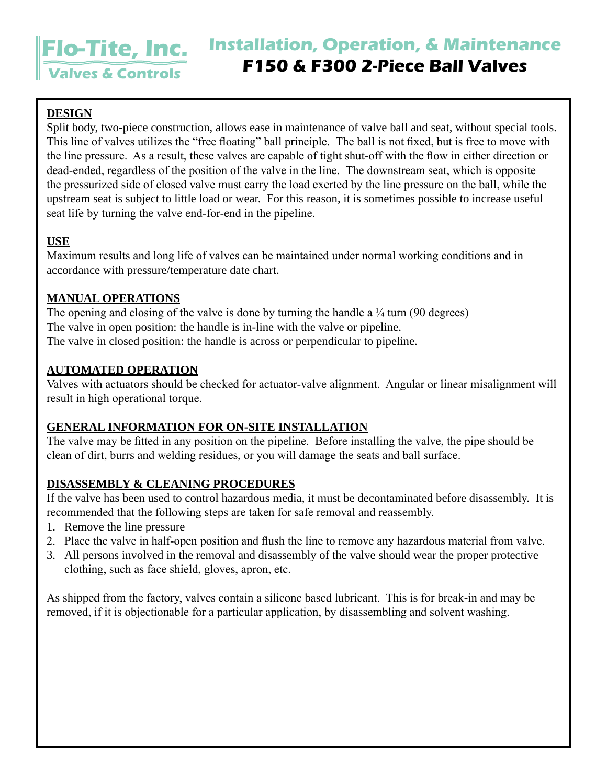# **Installation, Operation, & Maintenance F150 & F300 2-Piece Ball Valves**

### **DESIGN**

Split body, two-piece construction, allows ease in maintenance of valve ball and seat, without special tools. This line of valves utilizes the "free floating" ball principle. The ball is not fixed, but is free to move with the line pressure. As a result, these valves are capable of tight shut-off with the flow in either direction or dead-ended, regardless of the position of the valve in the line. The downstream seat, which is opposite the pressurized side of closed valve must carry the load exerted by the line pressure on the ball, while the upstream seat is subject to little load or wear. For this reason, it is sometimes possible to increase useful seat life by turning the valve end-for-end in the pipeline.

### **USE**

Maximum results and long life of valves can be maintained under normal working conditions and in accordance with pressure/temperature date chart.

### **MANUAL OPERATIONS**

**Flo-Tite, Inc.**

**Valves & Controls**

The opening and closing of the valve is done by turning the handle a  $\frac{1}{4}$  turn (90 degrees) The valve in open position: the handle is in-line with the valve or pipeline. The valve in closed position: the handle is across or perpendicular to pipeline.

### **AUTOMATED OPERATION**

Valves with actuators should be checked for actuator-valve alignment. Angular or linear misalignment will result in high operational torque.

### **GENERAL INFORMATION FOR ON-SITE INSTALLATION**

The valve may be fitted in any position on the pipeline. Before installing the valve, the pipe should be clean of dirt, burrs and welding residues, or you will damage the seats and ball surface.

### **DISASSEMBLY & CLEANING PROCEDURES**

If the valve has been used to control hazardous media, it must be decontaminated before disassembly. It is recommended that the following steps are taken for safe removal and reassembly.

- 1. Remove the line pressure
- 2. Place the valve in half-open position and flush the line to remove any hazardous material from valve.
- 3. All persons involved in the removal and disassembly of the valve should wear the proper protective clothing, such as face shield, gloves, apron, etc.

As shipped from the factory, valves contain a silicone based lubricant. This is for break-in and may be removed, if it is objectionable for a particular application, by disassembling and solvent washing.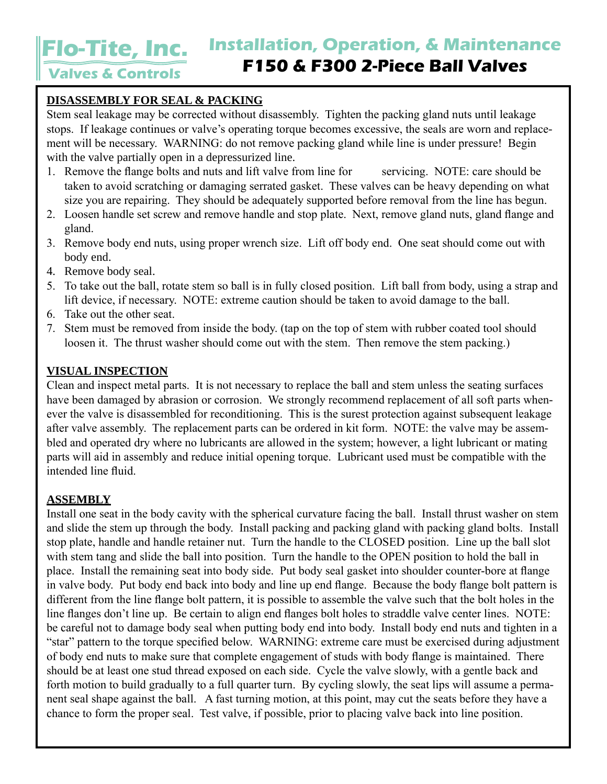**Installation, Operation, & Maintenance**

# **Flo-Tite, Inc. Valves & Controls**

## **F150 & F300 2-Piece Ball Valves**

### **DISASSEMBLY FOR SEAL & PACKING**

Stem seal leakage may be corrected without disassembly. Tighten the packing gland nuts until leakage stops. If leakage continues or valve's operating torque becomes excessive, the seals are worn and replacement will be necessary. WARNING: do not remove packing gland while line is under pressure! Begin with the valve partially open in a depressurized line.

- 1. Remove the flange bolts and nuts and lift valve from line for servicing. NOTE: care should be taken to avoid scratching or damaging serrated gasket. These valves can be heavy depending on what size you are repairing. They should be adequately supported before removal from the line has begun.
- 2. Loosen handle set screw and remove handle and stop plate. Next, remove gland nuts, gland flange and gland.
- 3. Remove body end nuts, using proper wrench size. Lift off body end. One seat should come out with body end.
- 4. Remove body seal.
- 5. To take out the ball, rotate stem so ball is in fully closed position. Lift ball from body, using a strap and lift device, if necessary. NOTE: extreme caution should be taken to avoid damage to the ball.
- 6. Take out the other seat.
- 7. Stem must be removed from inside the body. (tap on the top of stem with rubber coated tool should loosen it. The thrust washer should come out with the stem. Then remove the stem packing.)

#### **VISUAL INSPECTION**

Clean and inspect metal parts. It is not necessary to replace the ball and stem unless the seating surfaces have been damaged by abrasion or corrosion. We strongly recommend replacement of all soft parts whenever the valve is disassembled for reconditioning. This is the surest protection against subsequent leakage after valve assembly. The replacement parts can be ordered in kit form. NOTE: the valve may be assembled and operated dry where no lubricants are allowed in the system; however, a light lubricant or mating parts will aid in assembly and reduce initial opening torque. Lubricant used must be compatible with the intended line fluid.

### **ASSEMBLY**

Install one seat in the body cavity with the spherical curvature facing the ball. Install thrust washer on stem and slide the stem up through the body. Install packing and packing gland with packing gland bolts. Install stop plate, handle and handle retainer nut. Turn the handle to the CLOSED position. Line up the ball slot with stem tang and slide the ball into position. Turn the handle to the OPEN position to hold the ball in place. Install the remaining seat into body side. Put body seal gasket into shoulder counter-bore at flange in valve body. Put body end back into body and line up end flange. Because the body flange bolt pattern is different from the line flange bolt pattern, it is possible to assemble the valve such that the bolt holes in the line flanges don't line up. Be certain to align end flanges bolt holes to straddle valve center lines. NOTE: be careful not to damage body seal when putting body end into body. Install body end nuts and tighten in a "star" pattern to the torque specified below. WARNING: extreme care must be exercised during adjustment of body end nuts to make sure that complete engagement of studs with body flange is maintained. There should be at least one stud thread exposed on each side. Cycle the valve slowly, with a gentle back and forth motion to build gradually to a full quarter turn. By cycling slowly, the seat lips will assume a permanent seal shape against the ball. A fast turning motion, at this point, may cut the seats before they have a chance to form the proper seal. Test valve, if possible, prior to placing valve back into line position.